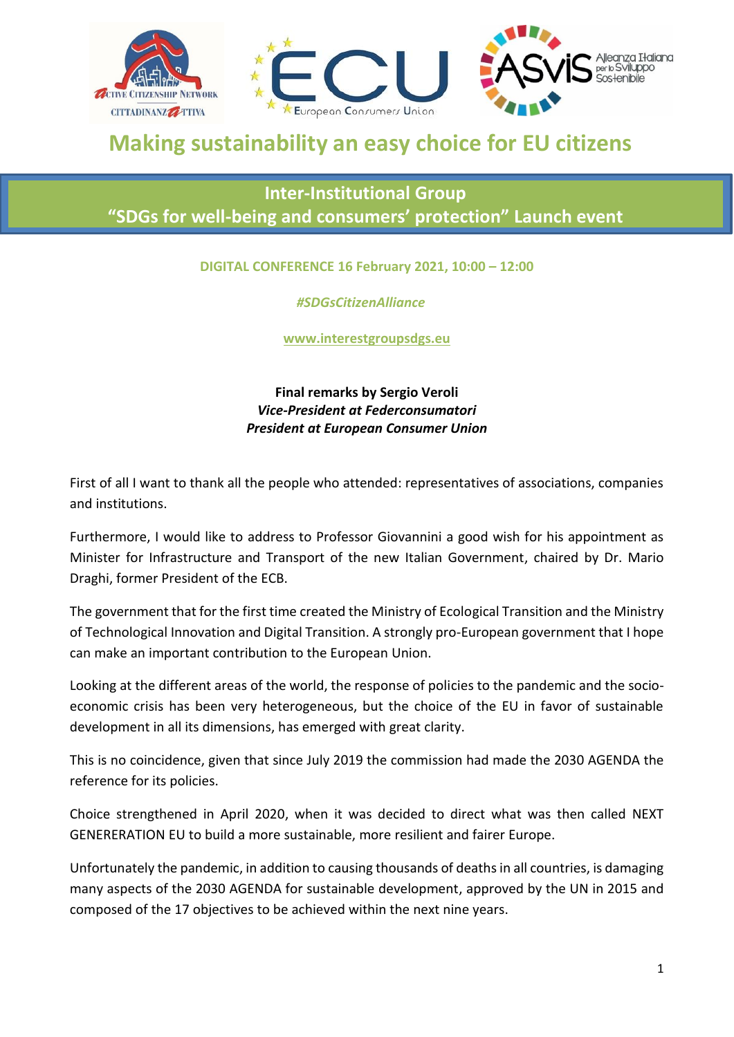

## **Making sustainability an easy choice for EU citizens**

## **Inter-Institutional Group "SDGs for well-being and consumers' protection" Launch event**

## **DIGITAL CONFERENCE 16 February 2021, 10:00 – 12:00**

## *#SDGsCitizenAlliance*

**www.interestgroupsdgs.eu**

**Final remarks by Sergio Veroli** *Vice-President at Federconsumatori President at European Consumer Union*

First of all I want to thank all the people who attended: representatives of associations, companies and institutions.

Furthermore, I would like to address to Professor Giovannini a good wish for his appointment as Minister for Infrastructure and Transport of the new Italian Government, chaired by Dr. Mario Draghi, former President of the ECB.

The government that for the first time created the Ministry of Ecological Transition and the Ministry of Technological Innovation and Digital Transition. A strongly pro-European government that I hope can make an important contribution to the European Union.

Looking at the different areas of the world, the response of policies to the pandemic and the socioeconomic crisis has been very heterogeneous, but the choice of the EU in favor of sustainable development in all its dimensions, has emerged with great clarity.

This is no coincidence, given that since July 2019 the commission had made the 2030 AGENDA the reference for its policies.

Choice strengthened in April 2020, when it was decided to direct what was then called NEXT GENERERATION EU to build a more sustainable, more resilient and fairer Europe.

Unfortunately the pandemic, in addition to causing thousands of deaths in all countries, is damaging many aspects of the 2030 AGENDA for sustainable development, approved by the UN in 2015 and composed of the 17 objectives to be achieved within the next nine years.